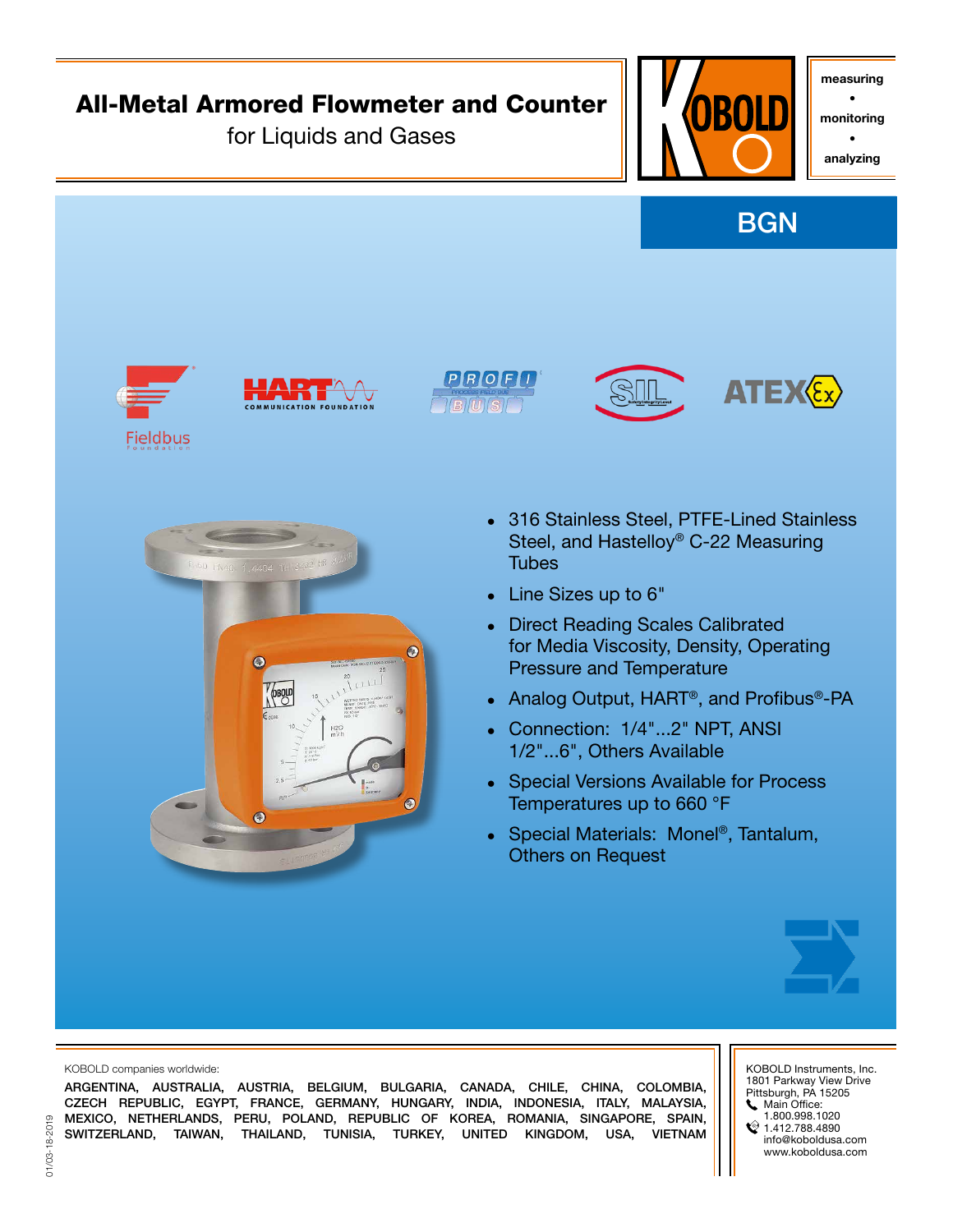

ARGENTINA, AUSTRALIA, AUSTRIA, BELGIUM, BULGARIA, CANADA, CHILE, CHINA, COLOMBIA, CZECH REPUBLIC, EGYPT, FRANCE, GERMANY, HUNGARY, INDIA, INDONESIA, ITALY, MALAYSIA, MEXICO, NETHERLANDS, PERU, POLAND, REPUBLIC OF KOREA, ROMANIA, SINGAPORE, SPAIN, SWITZERLAND, TAIWAN, THAILAND, TUNISIA, TURKEY, UNITED KINGDOM, USA, VIETNAM

1801 Parkway View Drive Pittsburgh, PA 15205 **Main Office:** 

- 1.800.998.1020
- $21.412.788.4890$ info@koboldusa.com www.koboldusa.com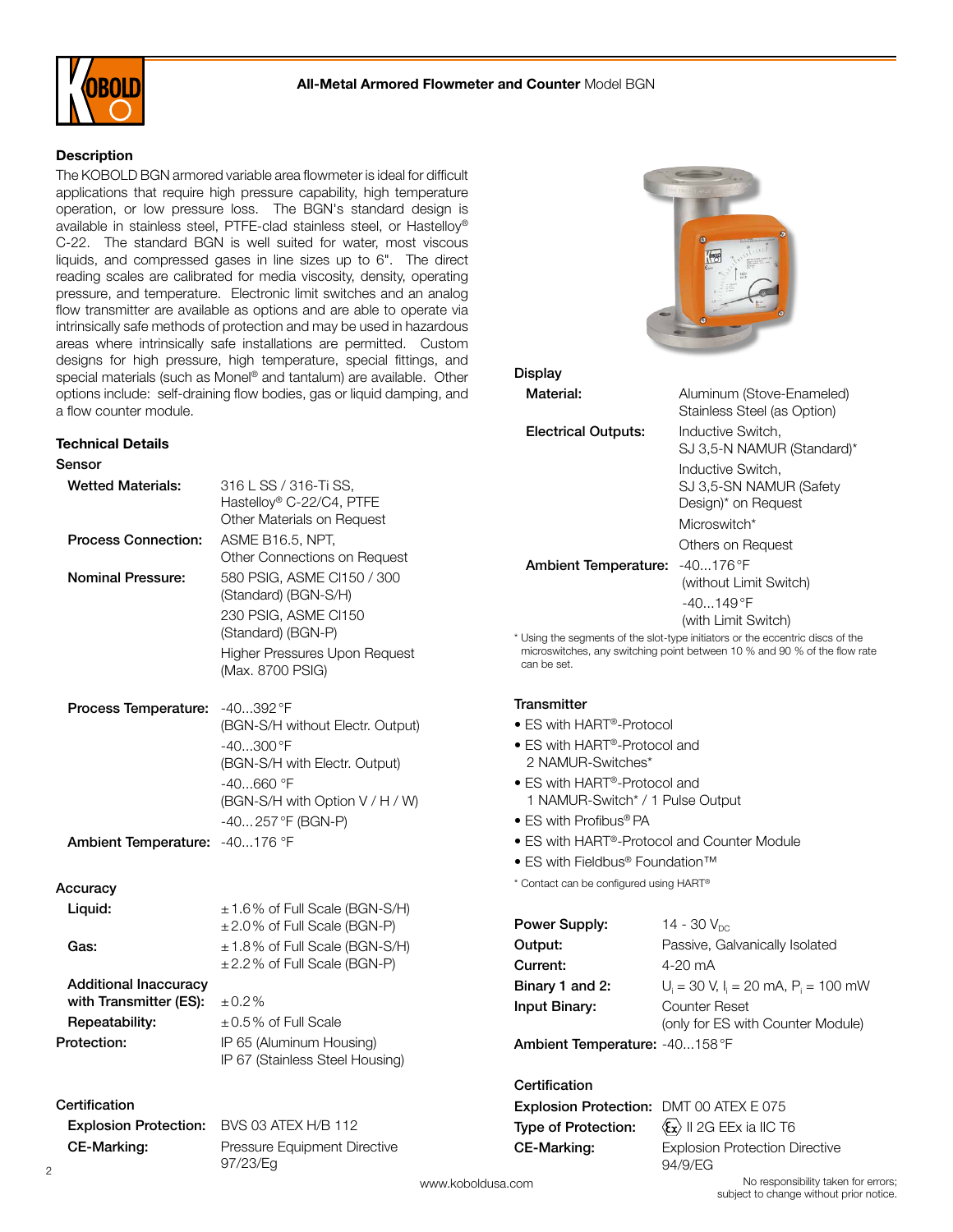

## **Description**

The KOBOLD BGN armored variable area flowmeter is ideal for difficult applications that require high pressure capability, high temperature operation, or low pressure loss. The BGN's standard design is available in stainless steel, PTFE-clad stainless steel, or Hastelloy® C-22. The standard BGN is well suited for water, most viscous liquids, and compressed gases in line sizes up to 6". The direct reading scales are calibrated for media viscosity, density, operating pressure, and temperature. Electronic limit switches and an analog flow transmitter are available as options and are able to operate via intrinsically safe methods of protection and may be used in hazardous areas where intrinsically safe installations are permitted. Custom designs for high pressure, high temperature, special fittings, and special materials (such as Monel® and tantalum) are available. Other options include: self-draining flow bodies, gas or liquid damping, and a flow counter module.

#### Technical Details



IP 67 (Stainless Steel Housing)

**Repeatability:**  $\pm 0.5\%$  of Full Scale **Protection:** IP 65 (Aluminum Housing)

Explosion Protection: BVS 03 ATEX H/B 112 CE-Marking: Pressure Equipment Directive 97/23/Eg



#### **Display**

Material: Aluminum (Stove-Enameled) Stainless Steel (as Option) **Electrical Outputs:** Inductive Switch, SJ 3,5-N NAMUR (Standard)\* Inductive Switch, SJ 3,5-SN NAMUR (Safety Design)\* on Request Microswitch\* Others on Request Ambient Temperature: -40...176°F (without Limit Switch) -40...149°F (with Limit Switch) \* Using the segments of the slot-type initiators or the eccentric discs of the microswitches, any switching point between 10 % and 90 % of the flow rate

- ES with HART®-Protocol
- ES with HART®-Protocol and 2 NAMUR-Switches\*
- ES with HART®-Protocol and 1 NAMUR-Switch\* / 1 Pulse Output
- ES with Profibus<sup>®</sup> PA
- ES with HART®-Protocol and Counter Module
- ES with Fieldbus® Foundation™

\* Contact can be configured using HART®

| Power Supply:                 | 14 - 30 $V_{nc}$                            |
|-------------------------------|---------------------------------------------|
| Output:                       | Passive, Galvanically Isolated              |
| Current:                      | $4 - 20$ mA                                 |
| Binary 1 and 2:               | $U_i = 30$ V, $I_i = 20$ mA, $P_i = 100$ mW |
| Input Binary:                 | Counter Reset                               |
|                               | (only for ES with Counter Module)           |
| Ambient Temperature: -40158°F |                                             |

# **Certification**

| <b>Explosion Protection: DMT 00 ATEX E 075</b> |                                                        |
|------------------------------------------------|--------------------------------------------------------|
| Type of Protection:                            | $\langle \mathbf{\hat{x}} \rangle$ II 2G EEx ia IIC T6 |
| CE-Marking:                                    | <b>Explosion Protection Directive</b>                  |
|                                                | 94/9/EG                                                |

**Certification**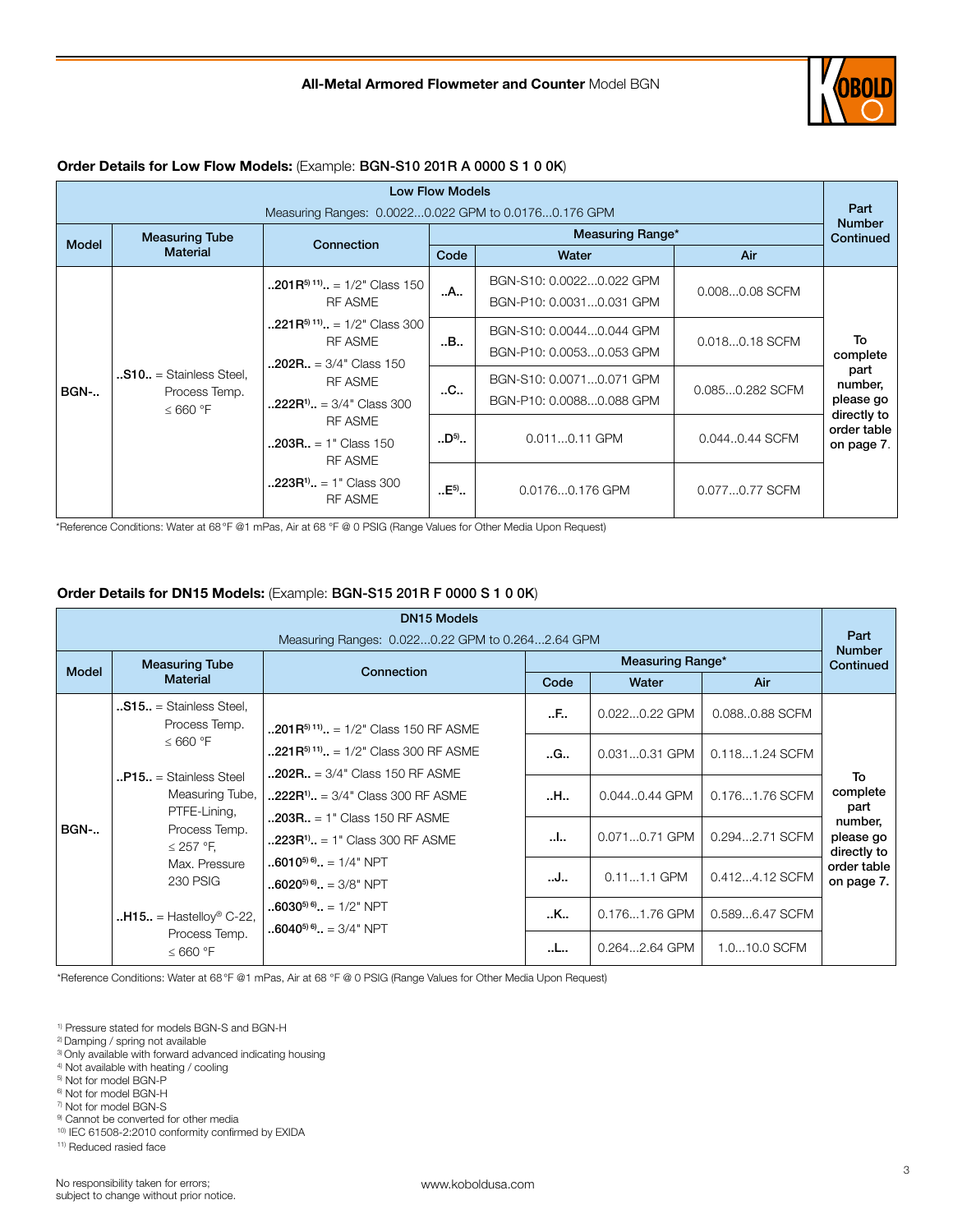

## Order Details for Low Flow Models: (Example: BGN-S10 201R A 0000 S 1 0 0K)

| <b>Low Flow Models</b>                               |                                                                    |                                                                                      |                  |                                                      |                 |                                          |  |  |                            |
|------------------------------------------------------|--------------------------------------------------------------------|--------------------------------------------------------------------------------------|------------------|------------------------------------------------------|-----------------|------------------------------------------|--|--|----------------------------|
| Measuring Ranges: 0.00220.022 GPM to 0.01760.176 GPM |                                                                    |                                                                                      |                  |                                                      |                 |                                          |  |  |                            |
| <b>Model</b>                                         | <b>Measuring Tube</b>                                              | Connection                                                                           | Measuring Range* |                                                      |                 |                                          |  |  | <b>Number</b><br>Continued |
|                                                      | <b>Material</b>                                                    |                                                                                      | Code             | Water                                                | Air             |                                          |  |  |                            |
|                                                      | $\cdot$ . S10 = Stainless Steel.<br>Process Temp.<br>$\leq 660$ °F | $\ldots$ 201R <sup>5</sup> <sup>11</sup> $\ldots$ = 1/2" Class 150<br><b>RF ASME</b> | A                | BGN-S10: 0.00220.022 GPM<br>BGN-P10: 0.00310.031 GPM | 0.0080.08 SCFM  |                                          |  |  |                            |
| <b>BGN-</b>                                          |                                                                    | $.221R^{5(11)} = 1/2$ " Class 300<br><b>RF ASME</b><br>$.202R. = 3/4"$ Class 150     | B                | BGN-S10: 0.00440.044 GPM<br>BGN-P10: 0.00530.053 GPM | 0.0180.18 SCFM  | To<br>complete                           |  |  |                            |
|                                                      |                                                                    | <b>RF ASME</b><br>$.222R^{1}$ = 3/4" Class 300                                       | .C.,             | BGN-S10: 0.00710.071 GPM<br>BGN-P10: 0.00880.088 GPM | 0.0850.282 SCFM | part<br>number,<br>please go             |  |  |                            |
|                                                      |                                                                    | <b>RF ASME</b><br>$.203R. = 1" Class 150$<br><b>RF ASME</b>                          | $.D^{5)}$        | 0.0110.11 GPM                                        | 0.0440.44 SCFM  | directly to<br>order table<br>on page 7. |  |  |                            |
|                                                      |                                                                    | $.223R^{1}$ = 1" Class 300<br><b>RF ASME</b>                                         | $.E5$ .          | 0.01760.176 GPM                                      | 0.0770.77 SCFM  |                                          |  |  |                            |

\*Reference Conditions: Water at 68°F @1 mPas, Air at 68 °F @ 0 PSIG (Range Values for Other Media Upon Request)

# Order Details for DN15 Models: (Example: BGN-S15 201R F 0000 S 1 0 0K)

| <b>DN15 Models</b> |                                                                                                                                                     |                                                                                                    |      |                         |                |                                     |
|--------------------|-----------------------------------------------------------------------------------------------------------------------------------------------------|----------------------------------------------------------------------------------------------------|------|-------------------------|----------------|-------------------------------------|
|                    |                                                                                                                                                     | Measuring Ranges: 0.0220.22 GPM to 0.2642.64 GPM                                                   |      |                         |                | Part<br><b>Number</b>               |
| <b>Model</b>       | <b>Measuring Tube</b>                                                                                                                               | Connection                                                                                         |      | <b>Measuring Range*</b> |                | Continued                           |
|                    | <b>Material</b>                                                                                                                                     |                                                                                                    | Code | Water                   | Air            |                                     |
|                    | $.515. =$ Stainless Steel.<br>Process Temp.                                                                                                         | $\ldots$ 201R <sup>5</sup> <sup>11</sup> $\ldots$ = 1/2" Class 150 RF ASME                         | F    | $0.0220.22$ GPM         | 0.0880.88 SCFM |                                     |
|                    | $\leq 660$ °F<br>$P15. =$ Stainless Steel<br>Measuring Tube,<br>PTFE-Lining,<br>Process Temp.<br>$\leq$ 257 °F,<br>Max. Pressure<br><b>230 PSIG</b> | $.221R^{5(11)}$ = 1/2" Class 300 RF ASME                                                           | G    | 0.0310.31 GPM           | 0.1181.24 SCFM |                                     |
|                    |                                                                                                                                                     | $.202R. = 3/4$ " Class 150 RF ASME<br>$\ldots$ 222R <sup>1</sup> $\ldots$ = 3/4" Class 300 RF ASME | H    | 0.0440.44 GPM           | 0.1761.76 SCFM | To<br>complete<br>part              |
| <b>BGN-</b>        |                                                                                                                                                     | $.203R. = 1$ " Class 150 RF ASME<br>$.223R^{1}$ = 1" Class 300 RF ASME                             | I    | 0.0710.71 GPM           | 0.2942.71 SCFM | number,<br>please go<br>directly to |
|                    |                                                                                                                                                     | $.6010^{56}$ $= 1/4$ " NPT<br>$.6020^{56}$ $. = 3/8"$ NPT                                          | J    | $0.111.1$ GPM           | 0.4124.12 SCFM | order table<br>on page 7.           |
|                    | $H15. =$ Hastelloy <sup>®</sup> C-22,                                                                                                               | $.6030^{5}$ , $.5030^{5}$ , $.5042$ NPT<br>${\bf .:}6040^{{\mathbf 5})\,{\mathbf 6}}$ = 3/4" NPT   | K    | 0.1761.76 GPM           | 0.5896.47 SCFM |                                     |
|                    | Process Temp.<br>$\leq 660$ °F                                                                                                                      |                                                                                                    | L    | 0.2642.64 GPM           | 1.010.0 SCFM   |                                     |

\*Reference Conditions: Water at 68°F @1 mPas, Air at 68 °F @ 0 PSIG (Range Values for Other Media Upon Request)

1) Pressure stated for models BGN-S and BGN-H

- 2) Damping / spring not available
- 3) Only available with forward advanced indicating housing
- 4) Not available with heating / cooling
- 5) Not for model BGN-P 6) Not for model BGN-H
- 7) Not for model BGN-S
- <sup>9)</sup> Cannot be converted for other media
- 10) IEC 61508-2:2010 conformity confirmed by EXIDA

11) Reduced rasied face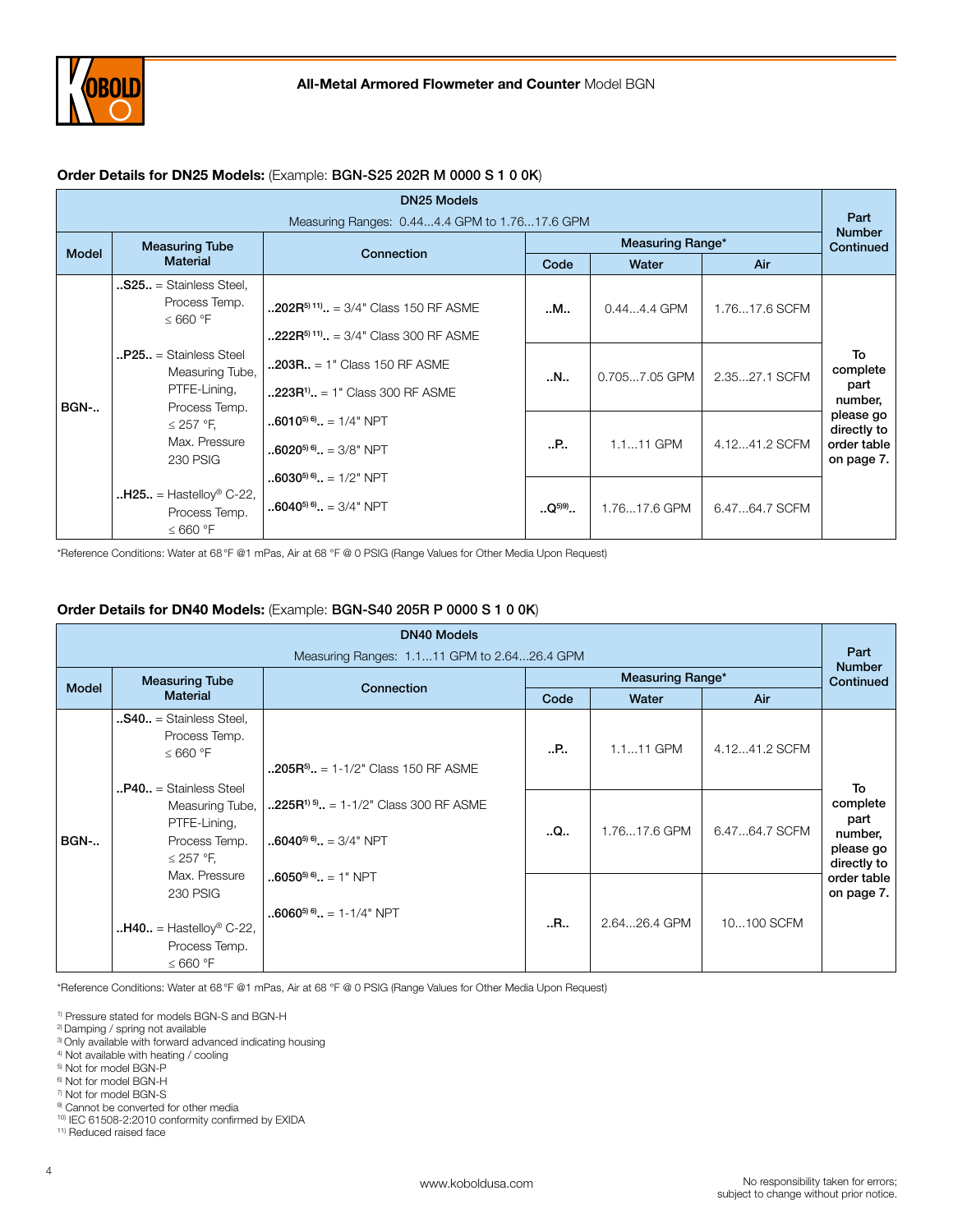

# Order Details for DN25 Models: (Example: BGN-S25 202R M 0000 S 1 0 0K)

| <b>DN25 Models</b> |                                                                                                                                    |                                                                                      |             |                         |               |                                                       |
|--------------------|------------------------------------------------------------------------------------------------------------------------------------|--------------------------------------------------------------------------------------|-------------|-------------------------|---------------|-------------------------------------------------------|
|                    |                                                                                                                                    | Measuring Ranges: 0.444.4 GPM to 1.7617.6 GPM                                        |             |                         |               | Part<br><b>Number</b>                                 |
| <b>Model</b>       | <b>Measuring Tube</b>                                                                                                              | Connection                                                                           |             | <b>Measuring Range*</b> |               | Continued                                             |
|                    | <b>Material</b>                                                                                                                    |                                                                                      | Code        | Water                   | Air           |                                                       |
|                    | $.$ S25 = Stainless Steel,<br>Process Temp.<br>$\leq 660$ °F                                                                       | $.202R^{5(11)}$ = 3/4" Class 150 RF ASME<br>$.222R^{5(11)}$ = 3/4" Class 300 RF ASME | M           | $0.444.4$ GPM           | 1.7617.6 SCFM |                                                       |
| <b>BGN-</b>        | $P25. =$ Stainless Steel<br>Measuring Tube,<br>PTFE-Lining,<br>Process Temp.<br>$\leq$ 257 °F,<br>Max. Pressure<br><b>230 PSIG</b> | $.203R. = 1$ " Class 150 RF ASME<br>$.223R^{1}$ . = 1" Class 300 RF ASME             | N           | 0.7057.05 GPM           | 2.3527.1 SCFM | To<br>complete<br>part<br>number,                     |
|                    |                                                                                                                                    | $\ldots$ 6010 <sup>5) 6</sup> $\ldots$ = 1/4" NPT<br>$1.6020^{50.6}$ = 3/8" NPT      | P           | $1.111$ GPM             | 4.1241.2 SCFM | please go<br>directly to<br>order table<br>on page 7. |
|                    | $H25. = Hastellov® C-22,$<br>Process Temp.<br>$\leq 660$ °F                                                                        | $.6030^{5}$ <sup>6</sup> $. = 1/2$ " NPT<br>$$ 6040 <sup>5) 6)</sup> = 3/4" NPT      | $.05^{(9)}$ | 1.7617.6 GPM            | 6.4764.7 SCFM |                                                       |

\*Reference Conditions: Water at 68°F @1 mPas, Air at 68 °F @ 0 PSIG (Range Values for Other Media Upon Request)

# Order Details for DN40 Models: (Example: BGN-S40 205R P 0000 S 1 0 0K)

| <b>DN40 Models</b> |                                                                                                         |                                                                                                                        |      |                         |               |                                                               |
|--------------------|---------------------------------------------------------------------------------------------------------|------------------------------------------------------------------------------------------------------------------------|------|-------------------------|---------------|---------------------------------------------------------------|
|                    |                                                                                                         | Measuring Ranges: 1.111 GPM to 2.6426.4 GPM                                                                            |      |                         |               | Part<br><b>Number</b>                                         |
| <b>Model</b>       | <b>Measuring Tube</b>                                                                                   | Connection                                                                                                             |      | <b>Measuring Range*</b> |               | Continued                                                     |
|                    | <b>Material</b>                                                                                         |                                                                                                                        | Code | Water                   | Air           |                                                               |
|                    | $$ <b>S40</b> = Stainless Steel,<br>Process Temp.<br>$\leq 660$ °F<br>$\mathbf{P40.}$ = Stainless Steel | $\ldots$ 205R <sup>5</sup> $\ldots$ = 1-1/2" Class 150 RF ASME                                                         | .    | 1.111 GPM               | 4.1241.2 SCFM |                                                               |
| <b>BGN-</b>        | Measuring Tube,<br>PTFE-Lining,<br>Process Temp.<br>$\leq$ 257 °F,                                      | $\ldots$ 225R <sup>1) 5</sup> $\ldots$ = 1-1/2" Class 300 RF ASME<br>$\ldots$ 6040 <sup>5) 6</sup> $\ldots$ = 3/4" NPT | Q    | 1.7617.6 GPM            | 6.4764.7 SCFM | To<br>complete<br>part<br>number,<br>please go<br>directly to |
|                    | Max. Pressure<br><b>230 PSIG</b><br>$H40. = Hastellov® C-22,$<br>Process Temp.<br>$\leq 660$ °F         | $.6050^{56}$ . = 1" NPT<br>$.6060^{56}$ . = 1-1/4" NPT                                                                 | R    | 2.6426.4 GPM            | 10100 SCFM    | order table<br>on page 7.                                     |

\*Reference Conditions: Water at 68°F @1 mPas, Air at 68 °F @ 0 PSIG (Range Values for Other Media Upon Request)

1) Pressure stated for models BGN-S and BGN-H

2) Damping / spring not available

- <sup>3)</sup> Only available with forward advanced indicating housing
- 4) Not available with heating / cooling

5) Not for model BGN-P

- 6) Not for model BGN-H
- 7) Not for model BGN-S
- <sup>9)</sup> Cannot be converted for other media
- 10) IEC 61508-2:2010 conformity confirmed by EXIDA

11) Reduced raised face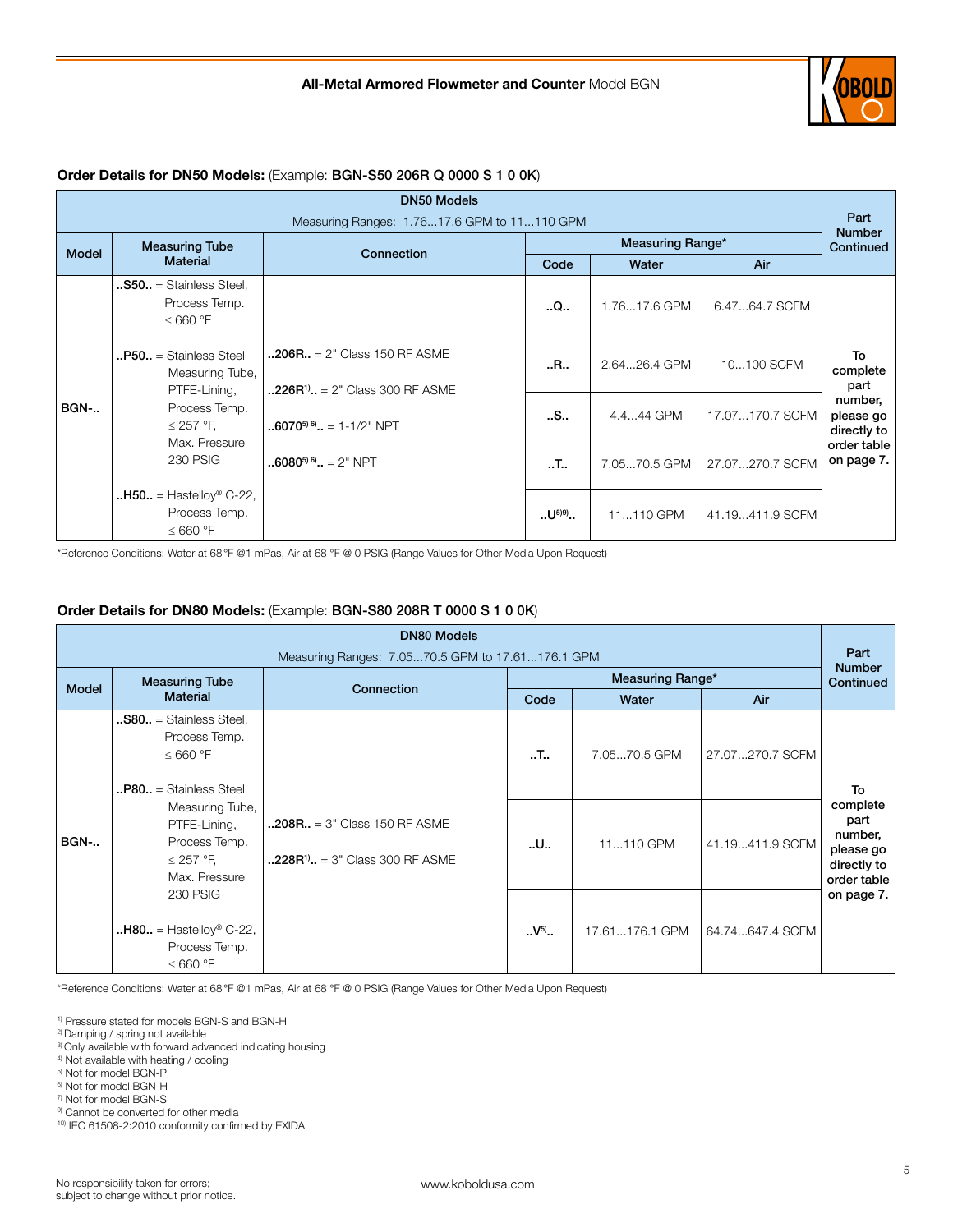

#### DN50 Models Measuring Ranges: 1.76...17.6 GPM to 11...110 GPM PART PART PART PART PART Number<br>Continued Model Measuring Tube | Connection | Measuring Range<sup>\*</sup> | Continued | Measuring Range<sup>\*</sup> | Continued | Continued | Connection | Connection | Connection | Connection | Connection | Connection | Connection | Connection | Conn verting Tube the Connection of the Measuring Range\*<br>Material Measuring Range\* Connection Code Water Code Water | Air BGN-.. ..S50.. = Stainless Steel, Process Temp. ≤ 660 °F  $\mathbf{P50}$ .. = Stainless Steel Measuring Tube, PTFE-Lining, Process Temp. ≤ 257 °F, Max. Pressure 230 PSIG  $. H50. =$  Hastelloy® C-22, Process Temp. ≤ 660 °F  $.206R_{.} = 2"$  Class 150 RF ASME  $.226R^{11}$ .. = 2" Class 300 RF ASME  $.6070^{5(6)}$ .. = 1-1/2" NPT  $.6080^{5(6)} = 2$ " NPT  $\mathbf{Q}$ . | 1.76...17.6 GPM | 6.47...64.7 SCFM To complete part number, please go directly to order table on page 7.  $\mathsf{R}$ .. | 2.64...26.4 GPM | 10...100 SCFM ..S.. | 4.4...44 GPM | 17.07...170.7 SCFM ..T.. 7.05...70.5 GPM 27.07...270.7 SCFM  $. U^{599}$ .. | 11...110 GPM | 41.19...411.9 SCFM

#### Order Details for DN50 Models: (Example: BGN-S50 206R Q 0000 S 1 0 0K)

\*Reference Conditions: Water at 68°F @1 mPas, Air at 68 °F @ 0 PSIG (Range Values for Other Media Upon Request)

## Order Details for DN80 Models: (Example: BGN-S80 208R T 0000 S 1 0 0K)

| <b>DN80 Models</b> |                                                                                                                                                                                                            |                                                                         |                          |                           |                                    |                                                               |
|--------------------|------------------------------------------------------------------------------------------------------------------------------------------------------------------------------------------------------------|-------------------------------------------------------------------------|--------------------------|---------------------------|------------------------------------|---------------------------------------------------------------|
|                    |                                                                                                                                                                                                            | Measuring Ranges: 7.0570.5 GPM to 17.61176.1 GPM                        |                          |                           |                                    | Part<br><b>Number</b>                                         |
| <b>Model</b>       | <b>Measuring Tube</b>                                                                                                                                                                                      | Connection                                                              |                          | <b>Measuring Range*</b>   |                                    | Continued                                                     |
|                    | <b>Material</b>                                                                                                                                                                                            |                                                                         | Code                     | Water                     | Air                                |                                                               |
| <b>BGN-</b>        | $$ <b>S80</b> = Stainless Steel,<br>Process Temp.<br>$\leq 660$ °F<br>$\textbf{}$ P80 $\textbf{}$ = Stainless Steel<br>Measuring Tube,<br>PTFE-Lining,<br>Process Temp.<br>$\leq$ 257 °F,<br>Max. Pressure | $.208R. = 3" Class 150 RF ASME$<br>$.228R^{1}$ , = 3" Class 300 RF ASME | $\cdot$ . T $\cdot$<br>U | 7.0570.5 GPM<br>11110 GPM | 27.07270.7 SCFM<br>41.19411.9 SCFM | To<br>complete<br>part<br>number,<br>please go<br>directly to |
|                    | <b>230 PSIG</b><br>$\cdot$ <b>H80</b> = Hastelloy <sup>®</sup> C-22,<br>Process Temp.<br>$\leq 660$ °F                                                                                                     |                                                                         | $.V^{5)}$                | 17.61176.1 GPM            | 64.74647.4 SCFM                    | order table<br>on page 7.                                     |

\*Reference Conditions: Water at 68°F @1 mPas, Air at 68 °F @ 0 PSIG (Range Values for Other Media Upon Request)

1) Pressure stated for models BGN-S and BGN-H

- <sup>3)</sup> Only available with forward advanced indicating housing
- 4) Not available with heating / cooling
- 5) Not for model BGN-P
- 6) Not for model BGN-H
- 7) Not for model BGN-S
- 9) Cannot be converted for other media

10) IEC 61508-2:2010 conformity confirmed by EXIDA

<sup>2)</sup> Damping / spring not available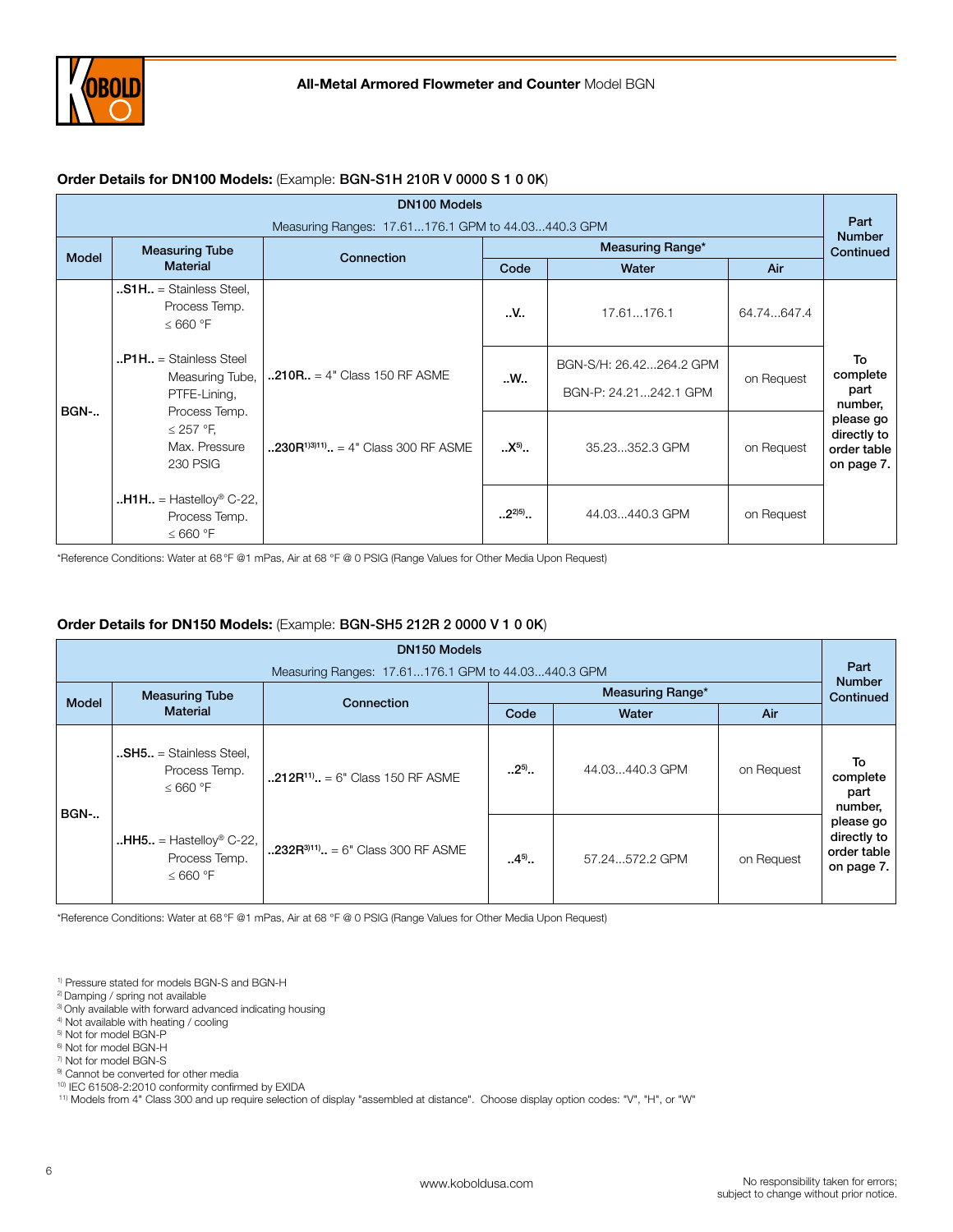

# Order Details for DN100 Models: (Example: BGN-S1H 210R V 0000 S 1 0 0K)

| <b>DN100 Models</b> |                                                                                          |                                                                             |             |                                                  |            |                                                       |
|---------------------|------------------------------------------------------------------------------------------|-----------------------------------------------------------------------------|-------------|--------------------------------------------------|------------|-------------------------------------------------------|
|                     |                                                                                          | Measuring Ranges: 17.61176.1 GPM to 44.03440.3 GPM                          |             |                                                  |            | Part<br><b>Number</b>                                 |
| <b>Model</b>        | <b>Measuring Tube</b>                                                                    | Connection                                                                  |             | Measuring Range*                                 |            | Continued                                             |
|                     | <b>Material</b>                                                                          |                                                                             | Code        | Water                                            | Air        |                                                       |
|                     | <b>S1H</b> = Stainless Steel,<br>Process Temp.<br>$\leq 660$ °F                          |                                                                             | .V.         | 17.61176.1                                       | 64.74647.4 |                                                       |
| <b>BGN-</b>         | $\mathbf{P1H}$ = Stainless Steel<br>Measuring Tube,<br>PTFE-Lining,                      | $.210R. = 4$ " Class 150 RF ASME<br>$.230R^{1/3/11}$ = 4" Class 300 RF ASME | W           | BGN-S/H: 26.42264.2 GPM<br>BGN-P: 24.21242.1 GPM | on Request | To<br>complete<br>part<br>number,                     |
|                     | Process Temp.<br>$\leq$ 257 °F,<br>Max. Pressure<br><b>230 PSIG</b>                      |                                                                             | $.X^{5}$    | 35.23352.3 GPM                                   | on Request | please go<br>directly to<br>order table<br>on page 7. |
|                     | $\mathbf{H}$ <b>H1H</b> = Hastelloy <sup>®</sup> C-22,<br>Process Temp.<br>$\leq 660$ °F |                                                                             | $.2^{2(5)}$ | 44.03440.3 GPM                                   | on Request |                                                       |

\*Reference Conditions: Water at 68°F @1 mPas, Air at 68 °F @ 0 PSIG (Range Values for Other Media Upon Request)

# Order Details for DN150 Models: (Example: BGN-SH5 212R 2 0000 V 1 0 0K)

| <b>DN150 Models</b> |                                                                                                                             |                                                    |            |                  |            |                                                       |
|---------------------|-----------------------------------------------------------------------------------------------------------------------------|----------------------------------------------------|------------|------------------|------------|-------------------------------------------------------|
|                     |                                                                                                                             | Measuring Ranges: 17.61176.1 GPM to 44.03440.3 GPM |            |                  |            | Part<br><b>Number</b>                                 |
| <b>Model</b>        | <b>Measuring Tube</b>                                                                                                       | Connection                                         |            | Measuring Range* |            | Continued                                             |
|                     | <b>Material</b>                                                                                                             |                                                    | Code       | Water            | Air        |                                                       |
| <b>BGN-</b>         | $$ <b>SH5</b> = Stainless Steel,<br>Process Temp.<br>$\leq 660$ °F                                                          | $.212R^{11}$ . = 6" Class 150 RF ASME              | $.2^{5}$ . | 44.03440.3 GPM   | on Request | To<br>complete<br>part<br>number,                     |
|                     | $HHS. = Hastelloy® C-22,$<br>$\cdot$ .232R <sup>311)</sup> $\cdot$ = 6" Class 300 RF ASME<br>Process Temp.<br>$\leq 660$ °F |                                                    | $4^{5}$    | 57.24572.2 GPM   | on Request | please go<br>directly to<br>order table<br>on page 7. |

\*Reference Conditions: Water at 68°F @1 mPas, Air at 68 °F @ 0 PSIG (Range Values for Other Media Upon Request)

1) Pressure stated for models BGN-S and BGN-H

- 2) Damping / spring not available
- <sup>3)</sup> Only available with forward advanced indicating housing
- 4) Not available with heating / cooling
- 5) Not for model BGN-P
- 6) Not for model BGN-H
- 7) Not for model BGN-S
- 9) Cannot be converted for other media
- 10) IEC 61508-2:2010 conformity confirmed by EXIDA

11) Models from 4" Class 300 and up require selection of display "assembled at distance". Choose display option codes: "V", "H", or "W"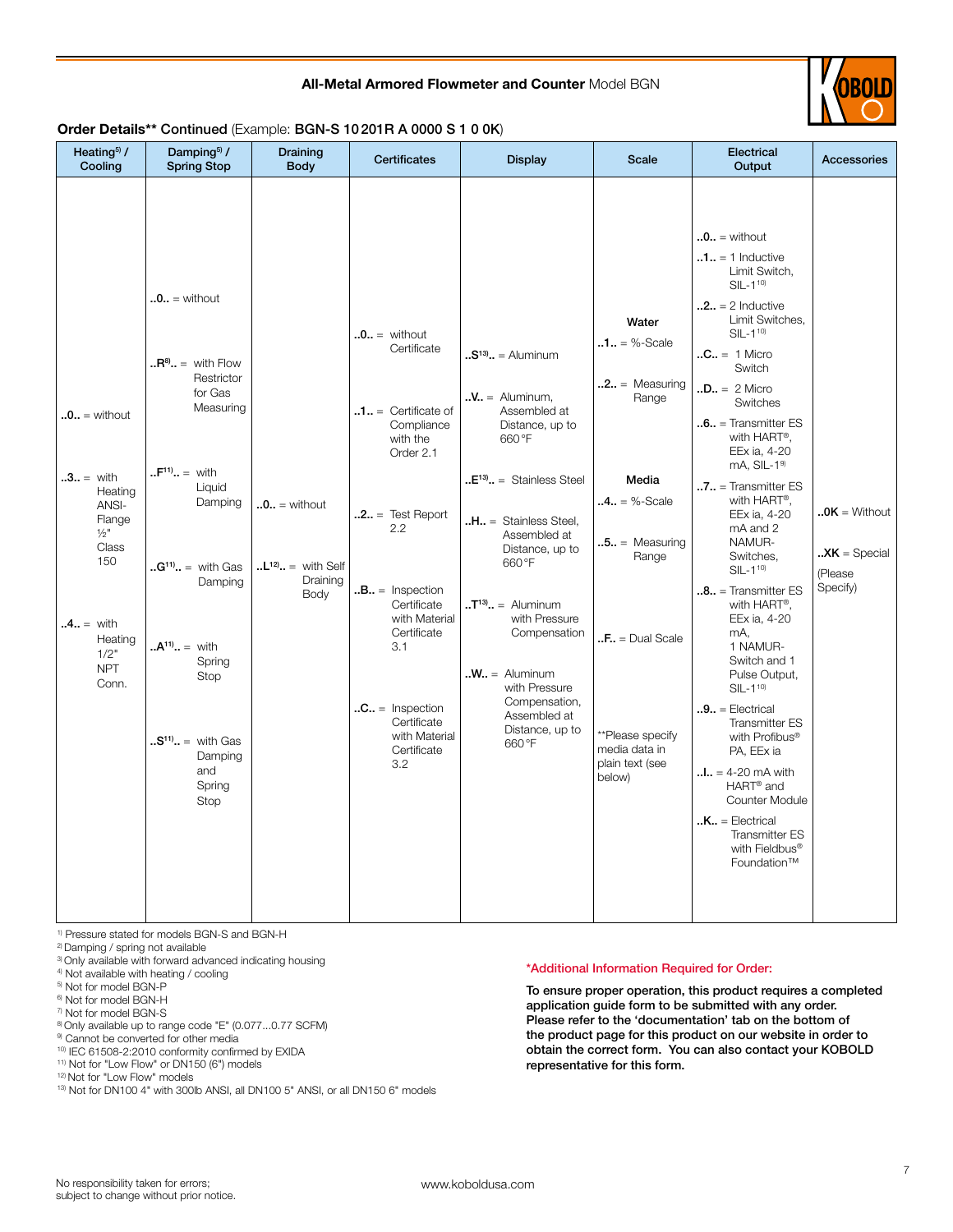## All-Metal Armored Flowmeter and Counter Model BGN



# Order Details\*\* Continued (Example: BGN-S 10201R A 0000 S 1 0 0K)

| Heating <sup>5</sup> /<br>Cooling                                                                                                                           | Damping <sup>5</sup> /<br><b>Spring Stop</b>                                                                                                                                                                                                                                | Draining<br><b>Body</b>                                      | Certificates                                                                                                                                                                                                                                                                                     | <b>Display</b>                                                                                                                                                                                                                                                                                                                                                              | <b>Scale</b>                                                                                                                                                                                           | Electrical<br>Output                                                                                                                                                                                                                                                                                                                                                                                                                                                                                                                                                                                                                                                                                                                                                                                                                                 | <b>Accessories</b>                                                                   |
|-------------------------------------------------------------------------------------------------------------------------------------------------------------|-----------------------------------------------------------------------------------------------------------------------------------------------------------------------------------------------------------------------------------------------------------------------------|--------------------------------------------------------------|--------------------------------------------------------------------------------------------------------------------------------------------------------------------------------------------------------------------------------------------------------------------------------------------------|-----------------------------------------------------------------------------------------------------------------------------------------------------------------------------------------------------------------------------------------------------------------------------------------------------------------------------------------------------------------------------|--------------------------------------------------------------------------------------------------------------------------------------------------------------------------------------------------------|------------------------------------------------------------------------------------------------------------------------------------------------------------------------------------------------------------------------------------------------------------------------------------------------------------------------------------------------------------------------------------------------------------------------------------------------------------------------------------------------------------------------------------------------------------------------------------------------------------------------------------------------------------------------------------------------------------------------------------------------------------------------------------------------------------------------------------------------------|--------------------------------------------------------------------------------------|
| $.0.0 =$ without<br>$.3. =$ with<br>Heating<br>ANSI-<br>Flange<br>$\frac{1}{2}$ "<br>Class<br>150<br>$.4. =$ with<br>Heating<br>1/2"<br><b>NPT</b><br>Conn. | $.0. =$ without<br>$\mathbf{R}^8$ . = with Flow<br>Restrictor<br>for Gas<br>Measuring<br>$F^{11} = \text{with}$<br>Liquid<br>Damping<br>$G^{11}$ = with Gas<br>Damping<br>$.A^{11} =$ with<br>Spring<br>Stop<br>$. S^{11}$ . = with Gas<br>Damping<br>and<br>Spring<br>Stop | $.0.0 =$ without<br>$L^{12} =$ with Self<br>Draining<br>Body | $.0.0 =$ without<br>Certificate<br>$\mathbf{0.1.1}$ = Certificate of<br>Compliance<br>with the<br>Order 2.1<br>$.2. =$ Test Report<br>2.2<br>$.B., = Insection$<br>Certificate<br>with Material<br>Certificate<br>3.1<br>$.C. = Insection$<br>Certificate<br>with Material<br>Certificate<br>3.2 | $.S13$ = Aluminum<br>$\mathbf{N} =$ Aluminum,<br>Assembled at<br>Distance, up to<br>660°F<br>$E13$ . = Stainless Steel<br>$.H., =$ Stainless Steel,<br>Assembled at<br>Distance, up to<br>660°F<br>$\mathbf{I}^{\text{13}}$ . = Aluminum<br>with Pressure<br>Compensation<br>$.W. =$ Aluminum<br>with Pressure<br>Compensation,<br>Assembled at<br>Distance, up to<br>660°F | Water<br>$.1. = %-Scale$<br>$.2. = Measuring$<br>Range<br>Media<br>$.4. = %-Scale$<br>$.5. = Measuring$<br>Range<br>$F = Dual Scale$<br>**Please specify<br>media data in<br>plain text (see<br>below) | $.0.0 =$ without<br>$\mathbf{0.1} \cdot \mathbf{1} = 1$ Inductive<br>Limit Switch,<br>$SIL - 1^{10}$<br>$.2.1 = 2$ Inductive<br>Limit Switches,<br>$SIL - 110$<br>$.C = 1$ Micro<br>Switch<br>$.D = 2$ Micro<br>Switches<br>$\cdot$ .6 = Transmitter ES<br>with HART®,<br>EEx ia, 4-20<br>$mA$ , SIL- $19$<br>$\mathbf{0.7.1}$ = Transmitter ES<br>with HART®,<br>EEx ia, 4-20<br>mA and 2<br>NAMUR-<br>Switches,<br>$SIL - 1^{10}$<br>$.8.1$ = Transmitter ES<br>with HART <sup>®</sup> ,<br>EEx ia, 4-20<br>mA,<br>1 NAMUR-<br>Switch and 1<br>Pulse Output,<br>$SIL - 1^{10}$<br>$.9. =$ Electrical<br><b>Transmitter ES</b><br>with Profibus®<br>PA, EEx ia<br>$\ldots$ = 4-20 mA with<br>HART <sup>®</sup> and<br><b>Counter Module</b><br>$,K_{\cdot\cdot}$ = Electrical<br><b>Transmitter ES</b><br>with Fieldbus <sup>®</sup><br>Foundation™ | $.0K =$ Without<br>$\mathbf{X} \mathsf{K} = \mathsf{Special}$<br>(Please<br>Specify) |

1) Pressure stated for models BGN-S and BGN-H

2) Damping / spring not available

- <sup>3)</sup> Only available with forward advanced indicating housing
- 4) Not available with heating / cooling
- 5) Not for model BGN-P

6) Not for model BGN-H

- 7) Not for model BGN-S
- 8) Only available up to range code "E" (0.077...0.77 SCFM)

<sup>9)</sup> Cannot be converted for other media

10) IEC 61508-2:2010 conformity confirmed by EXIDA

11) Not for "Low Flow" or DN150 (6") models

12) Not for "Low Flow" models

13) Not for DN100 4" with 300lb ANSI, all DN100 5" ANSI, or all DN150 6" models

#### \*Additional Information Required for Order:

To ensure proper operation, this product requires a completed application guide form to be submitted with any order. Please refer to the 'documentation' tab on the bottom of the product page for this product on our website in order to obtain the correct form. You can also contact your KOBOLD representative for this form.